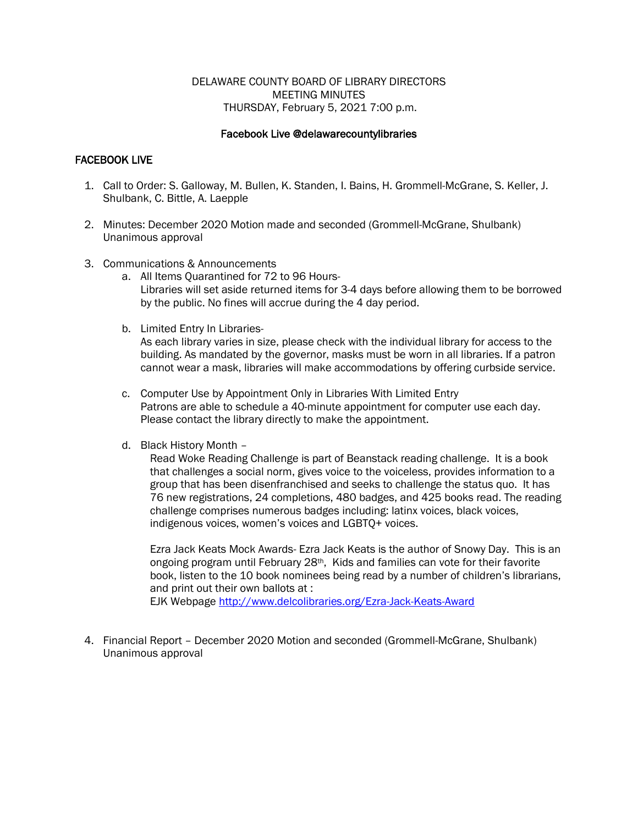# DELAWARE COUNTY BOARD OF LIBRARY DIRECTORS MEETING MINUTES THURSDAY, February 5, 2021 7:00 p.m.

# Facebook Live @delawarecountylibraries

# FACEBOOK LIVE

- 1. Call to Order: S. Galloway, M. Bullen, K. Standen, I. Bains, H. Grommell-McGrane, S. Keller, J. Shulbank, C. Bittle, A. Laepple
- 2. Minutes: December 2020 Motion made and seconded (Grommell-McGrane, Shulbank) Unanimous approval
- 3. Communications & Announcements
	- a. All Items Quarantined for 72 to 96 Hours-Libraries will set aside returned items for 3-4 days before allowing them to be borrowed by the public. No fines will accrue during the 4 day period.
	- b. Limited Entry In Libraries-

As each library varies in size, please check with the individual library for access to the building. As mandated by the governor, masks must be worn in all libraries. If a patron cannot wear a mask, libraries will make accommodations by offering curbside service.

- c. Computer Use by Appointment Only in Libraries With Limited Entry Patrons are able to schedule a 40-minute appointment for computer use each day. Please contact the library directly to make the appointment.
- d. Black History Month –

Read Woke Reading Challenge is part of Beanstack reading challenge. It is a book that challenges a social norm, gives voice to the voiceless, provides information to a group that has been disenfranchised and seeks to challenge the status quo. It has 76 new registrations, 24 completions, 480 badges, and 425 books read. The reading challenge comprises numerous badges including: latinx voices, black voices, indigenous voices, women's voices and LGBTQ+ voices.

Ezra Jack Keats Mock Awards- Ezra Jack Keats is the author of Snowy Day. This is an ongoing program until February 28th, Kids and families can vote for their favorite book, listen to the 10 book nominees being read by a number of children's librarians, and print out their own ballots at : EJK Webpage<http://www.delcolibraries.org/Ezra-Jack-Keats-Award>

4. Financial Report – December 2020 Motion and seconded (Grommell-McGrane, Shulbank) Unanimous approval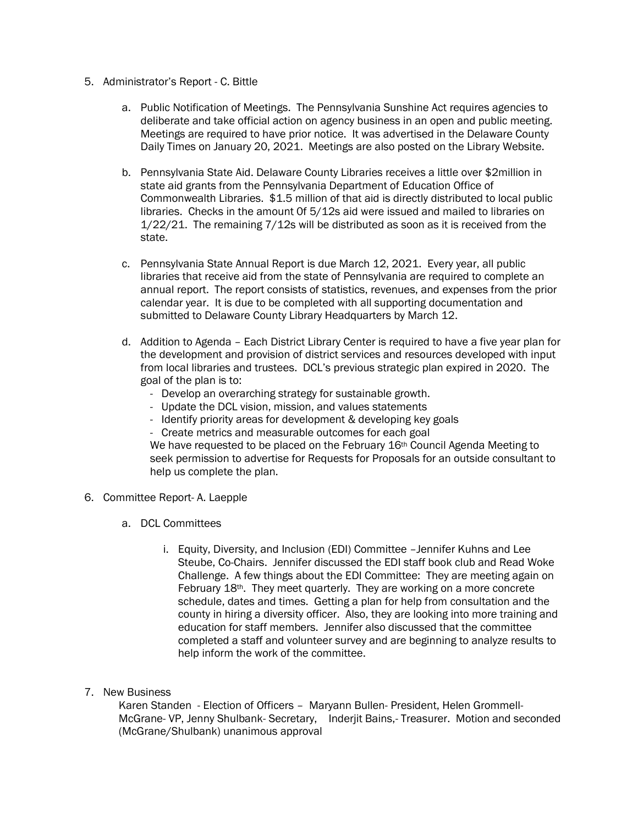- 5. Administrator's Report C. Bittle
	- a. Public Notification of Meetings. The Pennsylvania Sunshine Act requires agencies to deliberate and take official action on agency business in an open and public meeting. Meetings are required to have prior notice. It was advertised in the Delaware County Daily Times on January 20, 2021. Meetings are also posted on the Library Website.
	- b. Pennsylvania State Aid. Delaware County Libraries receives a little over \$2million in state aid grants from the Pennsylvania Department of Education Office of Commonwealth Libraries. \$1.5 million of that aid is directly distributed to local public libraries. Checks in the amount 0f 5/12s aid were issued and mailed to libraries on 1/22/21. The remaining 7/12s will be distributed as soon as it is received from the state.
	- c. Pennsylvania State Annual Report is due March 12, 2021. Every year, all public libraries that receive aid from the state of Pennsylvania are required to complete an annual report. The report consists of statistics, revenues, and expenses from the prior calendar year. It is due to be completed with all supporting documentation and submitted to Delaware County Library Headquarters by March 12.
	- d. Addition to Agenda Each District Library Center is required to have a five year plan for the development and provision of district services and resources developed with input from local libraries and trustees. DCL's previous strategic plan expired in 2020. The goal of the plan is to:
		- Develop an overarching strategy for sustainable growth.
		- Update the DCL vision, mission, and values statements
		- Identify priority areas for development & developing key goals
		- Create metrics and measurable outcomes for each goal

We have requested to be placed on the February 16<sup>th</sup> Council Agenda Meeting to seek permission to advertise for Requests for Proposals for an outside consultant to help us complete the plan.

- 6. Committee Report- A. Laepple
	- a. DCL Committees
		- i. Equity, Diversity, and Inclusion (EDI) Committee –Jennifer Kuhns and Lee Steube, Co-Chairs. Jennifer discussed the EDI staff book club and Read Woke Challenge. A few things about the EDI Committee: They are meeting again on February 18th. They meet quarterly. They are working on a more concrete schedule, dates and times. Getting a plan for help from consultation and the county in hiring a diversity officer. Also, they are looking into more training and education for staff members. Jennifer also discussed that the committee completed a staff and volunteer survey and are beginning to analyze results to help inform the work of the committee.
- 7. New Business

Karen Standen - Election of Officers – Maryann Bullen- President, Helen Grommell-McGrane- VP, Jenny Shulbank- Secretary, Inderjit Bains,- Treasurer. Motion and seconded (McGrane/Shulbank) unanimous approval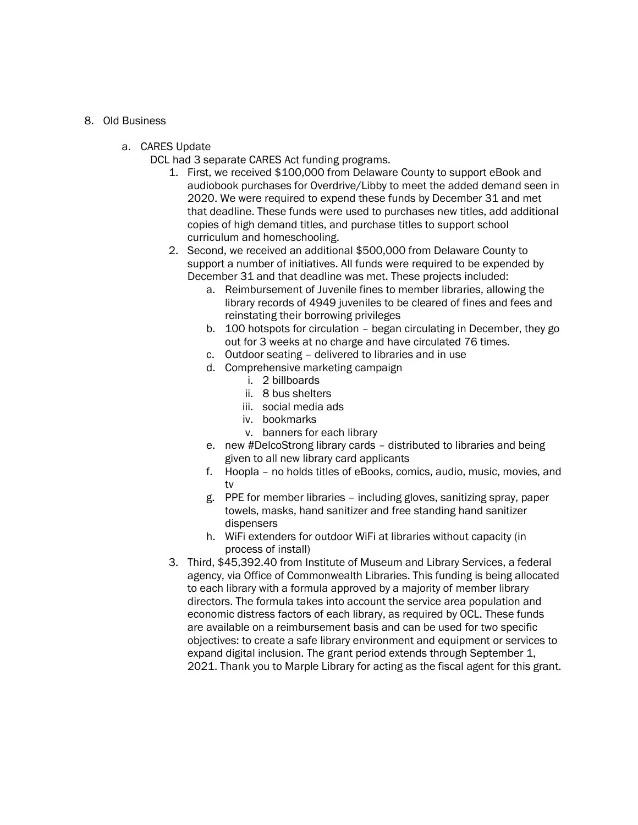#### 8. Old Business

a. CARES Update

DCL had 3 separate CARES Act funding programs.

- 1. First, we received \$100,000 from Delaware County to support eBook and audiobook purchases for Overdrive/Libby to meet the added demand seen in 2020. We were required to expend these funds by December 31 and met that deadline. These funds were used to purchases new titles, add additional copies of high demand titles, and purchase titles to support school curriculum and homeschooling.
- 2. Second, we received an additional \$500,000 from Delaware County to support a number of initiatives. All funds were required to be expended by December 31 and that deadline was met. These projects included:
	- a. Reimbursement of Juvenile fines to member libraries, allowing the library records of 4949 juveniles to be cleared of fines and fees and reinstating their borrowing privileges
	- b. 100 hotspots for circulation began circulating in December, they go out for 3 weeks at no charge and have circulated 76 times.
	- c. Outdoor seating delivered to libraries and in use
	- d. Comprehensive marketing campaign
		- i. 2 billboards
		- ii. 8 bus shelters
		- iii. social media ads
		- iv. bookmarks
		- v. banners for each library
	- e. new #DelcoStrong library cards distributed to libraries and being given to all new library card applicants
	- f. Hoopla no holds titles of eBooks, comics, audio, music, movies, and tv
	- g. PPE for member libraries including gloves, sanitizing spray, paper towels, masks, hand sanitizer and free standing hand sanitizer dispensers
	- h. WiFi extenders for outdoor WiFi at libraries without capacity (in process of install)
- 3. Third, \$45,392.40 from Institute of Museum and Library Services, a federal agency, via Office of Commonwealth Libraries. This funding is being allocated to each library with a formula approved by a majority of member library directors. The formula takes into account the service area population and economic distress factors of each library, as required by OCL. These funds are available on a reimbursement basis and can be used for two specific objectives: to create a safe library environment and equipment or services to expand digital inclusion. The grant period extends through September 1, 2021. Thank you to Marple Library for acting as the fiscal agent for this grant.